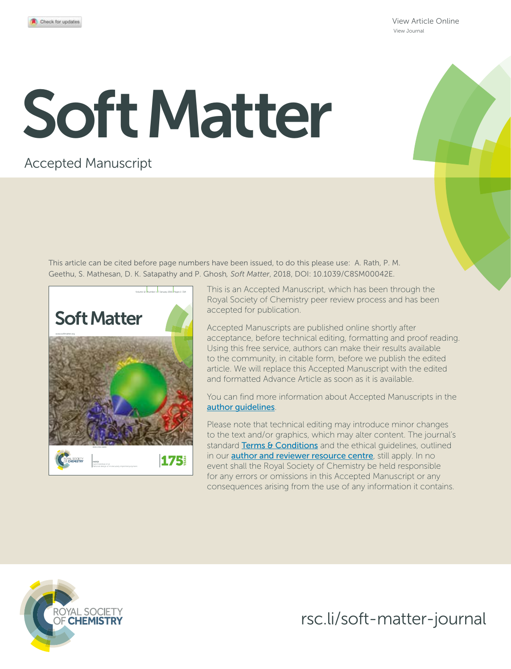View Article Online View Journal

# Soft Matter

# Accepted Manuscript

This article can be cited before page numbers have been issued, to do this please use: A. Rath, P. M. Geethu, S. Mathesan, D. K. Satapathy and P. Ghosh*, Soft Matter*, 2018, DOI: 10.1039/C8SM00042E.



This is an Accepted Manuscript, which has been through the Royal Society of Chemistry peer review process and has been accepted for publication.

Accepted Manuscripts are published online shortly after acceptance, before technical editing, formatting and proof reading. Using this free service, authors can make their results available to the community, in citable form, before we publish the edited article. We will replace this Accepted Manuscript with the edited and formatted Advance Article as soon as it is available.

You can find more information about Accepted Manuscripts in the author guidelines.

Please note that technical editing may introduce minor changes to the text and/or graphics, which may alter content. The journal's standard Terms & Conditions and the ethical quidelines, outlined in our **author and reviewer resource centre**, still apply. In no event shall the Royal Society of Chemistry be held responsible for any errors or omissions in this Accepted Manuscript or any consequences arising from the use of any information it contains.



rsc.li/soft-matter-journal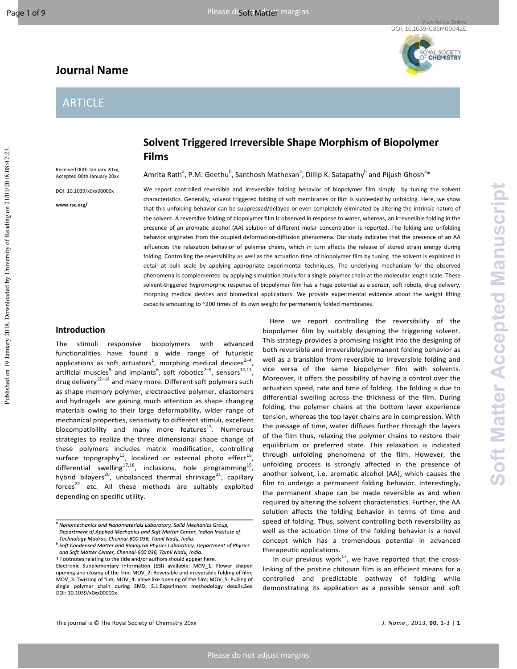Published on 19 January 2018. Downloaded by University of Reading on 21/01/2018 08:47:23

# YAL SOCIETY<br>**CHEMISTRY**

## **Journal Name**

# ARTICLE

Received 00th January 20xx, Accepted 00th January 20xx

DOI: 10.1039/x0xx00000x

**www.rsc.org/** 

### **Solvent Triggered Irreversible Shape Morphism of Biopolymer Films**

Amrita Rath<sup>a</sup>, P.M. Geethu<sup>b</sup>, Santhosh Mathesan<sup>a</sup>, Dillip K. Satapathy<sup>b</sup> and Pijush Ghosh<sup>a</sup>\*

We report controlled reversible and irreversible folding behavior of biopolymer film simply by tuning the solvent characteristics. Generally, solvent triggered folding of soft membranes or film is succeeded by unfolding. Here, we show that this unfolding behavior can be suppressed/delayed or even completely eliminated by altering the intrinsic nature of the solvent. A reversible folding of biopolymer film is observed in response to water, whereas, an irreversible folding in the presence of an aromatic alcohol (AA) solution of different molar concentration is reported. The folding and unfolding behavior originates from the coupled deformation-diffusion phenomena. Our study indicates that the presence of an AA influences the relaxation behavior of polymer chains, which in turn affects the release of stored strain energy during folding. Controlling the reversibility as well as the actuation time of biopolymer film by tuning the solvent is explained in detail at bulk scale by applying appropriate experimental techniques. The underlying mechanism for the observed phenomena is complemented by applying simulation study for a single polymer chain at the molecular length scale. These solvent-triggered hygromorphic response of biopolymer film has a huge potential as a sensor, soft robots, drug delivery, morphing medical devices and biomedical applications. We provide experimental evidence about the weight lifting capacity amounting to ~200 times of its own weight for permanently folded membranes.

#### **Introduction**

The stimuli responsive biopolymers with advanced functionalities have found a wide range of futuristic applications as soft actuators<sup>1</sup>, morphing medical devices<sup>2-4</sup> , artificial muscles<sup>5</sup> and implants<sup>6</sup>, soft robotics<sup>7–9</sup>, sensors<sup>10,11</sup>, drug delivery $12-14$  and many more. Different soft polymers such as shape memory polymer, electroactive polymer, elastomers and hydrogels are gaining much attention as shape changing materials owing to their large deformability, wider range of mechanical properties, sensitivity to different stimuli, excellent biocompatibility and many more features $^{15}$ . Numerous strategies to realize the three dimensional shape change of these polymers includes matrix modification, controlling surface topography<sup>15</sup>, localized or external photo effect<sup>16</sup> , differential swelling<sup>17,18</sup>, inclusions, hole programming<sup>19</sup>, hybrid bilayers<sup>20</sup>, unbalanced thermal shrinkage<sup>21</sup>, capillary forces $^{22}$  etc. All these methods are suitably exploited depending on specific utility.

#### Here we report controlling the reversibility of the biopolymer film by suitably designing the triggering solvent. This strategy provides a promising insight into the designing of both reversible and irreversible/permanent folding behavior as well as a transition from reversible to irreversible folding and vice versa of the same biopolymer film with solvents. Moreover, it offers the possibility of having a control over the actuation speed, rate and time of folding. The folding is due to differential swelling across the thickness of the film. During folding, the polymer chains at the bottom layer experience tension, whereas the top layer chains are in compression. With the passage of time, water diffuses further through the layers of the film thus, relaxing the polymer chains to restore their equilibrium or preferred state. This relaxation is indicated through unfolding phenomena of the film. However, the unfolding process is strongly affected in the presence of another solvent, i.e. aromatic alcohol (AA), which causes the film to undergo a permanent folding behavior. Interestingly, the permanent shape can be made reversible as and when required by altering the solvent characteristics. Further, the AA solution affects the folding behavior in terms of time and speed of folding. Thus, solvent controlling both reversibility as well as the actuation time of the folding behavior is a novel concept which has a tremendous potential in advanced therapeutic applications.

In our previous work<sup>17</sup>, we have reported that the crosslinking of the pristine chitosan film is an efficient means for a controlled and predictable pathway of folding while demonstrating its application as a possible sensor and soft

<sup>&</sup>lt;sup>a</sup> Nanomechanics and Nanomaterials Laboratory, Solid Mechanics Group, Department of Applied Mechanics and Soft Matter Center, Indian Institute of

Technology Madras, Chennai-600 036, Tamil Nadu, India. <sup>b.</sup> Soft Condensed Matter and Biological Physics Laboratory, Department of Physics and Soft Matter Center, Chennai-600 036, Tamil Nadu, India.

<sup>†</sup> Footnotes relating to the title and/or authors should appear here.

Electronic Supplementary Information (ESI) available: MOV\_1: Flower shaped opening and closing of the film; MOV\_2: Reversible and irreversible folding of film; MOV\_3: Twisting of film; MOV\_4: Valve like opening of the film; MOV\_5: Pulling of single polymer chain during SMD; S.1:Experiment methodology details.See DOI: 10.1039/x0xx00000x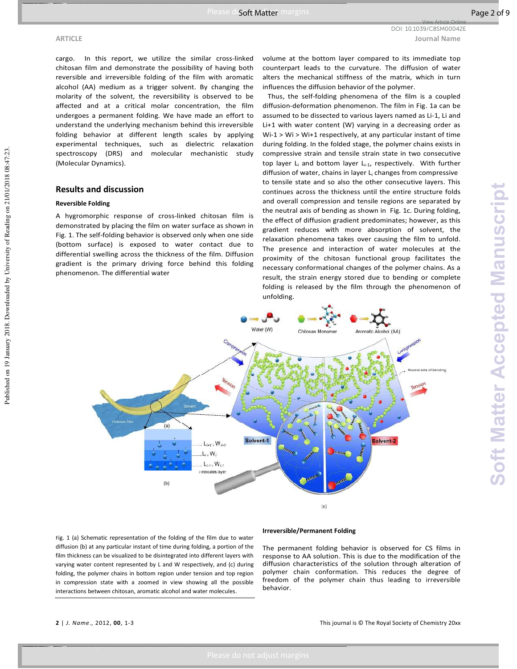**ARTICLE Journal Name** View Article Online DOI: 10.1039/C8SM00042E

cargo. In this report, we utilize the similar cross-linked chitosan film and demonstrate the possibility of having both reversible and irreversible folding of the film with aromatic alcohol (AA) medium as a trigger solvent. By changing the molarity of the solvent, the reversibility is observed to be affected and at a critical molar concentration, the film undergoes a permanent folding. We have made an effort to understand the underlying mechanism behind this irreversible folding behavior at different length scales by applying experimental techniques, such as dielectric relaxation spectroscopy (DRS) and molecular mechanistic study (Molecular Dynamics).

#### **Results and discussion**

#### **Reversible Folding**

Published on 19 January 2018. Downloaded by University of Reading on 21/01/2018 08:47:23.

Published on 19 January 2018. Downloaded by University of Reading on 21/01/2018 08:47:23

A hygromorphic response of cross-linked chitosan film is demonstrated by placing the film on water surface as shown in Fig. 1. The self-folding behavior is observed only when one side (bottom surface) is exposed to water contact due to differential swelling across the thickness of the film. Diffusion gradient is the primary driving force behind this folding phenomenon. The differential water

volume at the bottom layer compared to its immediate top counterpart leads to the curvature. The diffusion of water alters the mechanical stiffness of the matrix, which in turn influences the diffusion behavior of the polymer.

 Thus, the self-folding phenomena of the film is a coupled diffusion-deformation phenomenon. The film in Fig. 1a can be assumed to be dissected to various layers named as Li-1, Li and Li+1 with water content (W) varying in a decreasing order as Wi-1 > Wi > Wi+1 respectively, at any particular instant of time during folding. In the folded stage, the polymer chains exists in compressive strain and tensile strain state in two consecutive top layer L<sub>i</sub> and bottom layer L<sub>i-1</sub>, respectively. With further diffusion of water, chains in layer L<sub>i</sub> changes from compressive to tensile state and so also the other consecutive layers. This continues across the thickness until the entire structure folds and overall compression and tensile regions are separated by the neutral axis of bending as shown in Fig. 1c. During folding, the effect of diffusion gradient predominates; however, as this gradient reduces with more absorption of solvent, the relaxation phenomena takes over causing the film to unfold. The presence and interaction of water molecules at the proximity of the chitosan functional group facilitates the necessary conformational changes of the polymer chains. As a result, the strain energy stored due to bending or complete folding is released by the film through the phenomenon of unfolding.



Fig. 1 (a) Schematic representation of the folding of the film due to water diffusion (b) at any particular instant of time during folding, a portion of the film thickness can be visualized to be disintegrated into different layers with varying water content represented by L and W respectively, and (c) during folding, the polymer chains in bottom region under tension and top region in compression state with a zoomed in view showing all the possible interactions between chitosan, aromatic alcohol and water molecules.

#### **Irreversible/Permanent Folding**

The permanent folding behavior is observed for CS films in response to AA solution. This is due to the modification of the diffusion characteristics of the solution through alteration of polymer chain conformation. This reduces the degree of freedom of the polymer chain thus leading to irreversible behavior.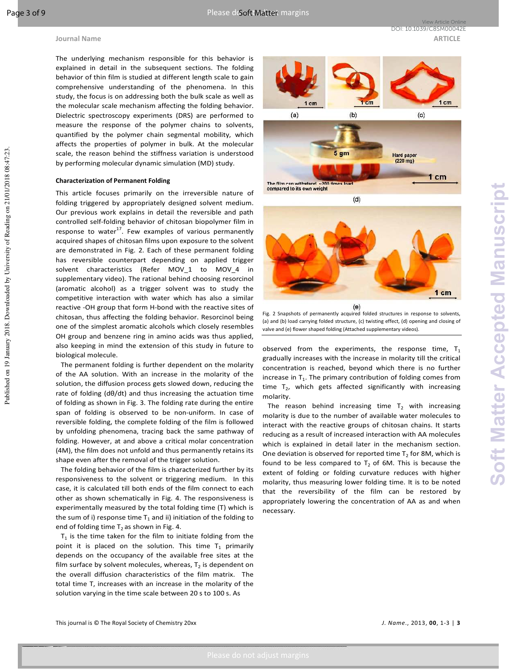Published on 19 January 2018. Downloaded by University of Reading on 21/01/2018 08:47:23

The underlying mechanism responsible for this behavior is explained in detail in the subsequent sections. The folding behavior of thin film is studied at different length scale to gain comprehensive understanding of the phenomena. In this study, the focus is on addressing both the bulk scale as well as the molecular scale mechanism affecting the folding behavior. Dielectric spectroscopy experiments (DRS) are performed to measure the response of the polymer chains to solvents, quantified by the polymer chain segmental mobility, which affects the properties of polymer in bulk. At the molecular scale, the reason behind the stiffness variation is understood by performing molecular dynamic simulation (MD) study.

#### **Characterization of Permanent Folding**

This article focuses primarily on the irreversible nature of folding triggered by appropriately designed solvent medium. Our previous work explains in detail the reversible and path controlled self-folding behavior of chitosan biopolymer film in response to water $^{17}$ . Few examples of various permanently acquired shapes of chitosan films upon exposure to the solvent are demonstrated in Fig. 2. Each of these permanent folding has reversible counterpart depending on applied trigger solvent characteristics (Refer MOV\_1 to MOV\_4 in supplementary video). The rational behind choosing resorcinol (aromatic alcohol) as a trigger solvent was to study the competitive interaction with water which has also a similar reactive -OH group that form H-bond with the reactive sites of chitosan, thus affecting the folding behavior. Resorcinol being one of the simplest aromatic alcohols which closely resembles OH group and benzene ring in amino acids was thus applied, also keeping in mind the extension of this study in future to biological molecule.

 The permanent folding is further dependent on the molarity of the AA solution. With an increase in the molarity of the solution, the diffusion process gets slowed down, reducing the rate of folding (dθ/dt) and thus increasing the actuation time of folding as shown in Fig. 3. The folding rate during the entire span of folding is observed to be non-uniform. In case of reversible folding, the complete folding of the film is followed by unfolding phenomena, tracing back the same pathway of folding. However, at and above a critical molar concentration (4M), the film does not unfold and thus permanently retains its shape even after the removal of the trigger solution.

 The folding behavior of the film is characterized further by its responsiveness to the solvent or triggering medium. In this case, it is calculated till both ends of the film connect to each other as shown schematically in Fig. 4. The responsiveness is experimentally measured by the total folding time (T) which is the sum of i) response time  $T_1$  and ii) initiation of the folding to end of folding time  $T_2$  as shown in Fig. 4.

 $T_1$  is the time taken for the film to initiate folding from the point it is placed on the solution. This time  $T_1$  primarily depends on the occupancy of the available free sites at the film surface by solvent molecules, whereas,  $T_2$  is dependent on the overall diffusion characteristics of the film matrix. The total time T, increases with an increase in the molarity of the solution varying in the time scale between 20 s to 100 s. As



View Article Online<br><mark>DOI: 10.1039/C8SM00042E</mark>

The film can withstand compared to its own weight



Fig. 2 Snapshots of permanently acquired folded structures in response to solvents, (a) and (b) load carrying folded structure, (c) twisting effect, (d) opening and closing of valve and (e) flower shaped folding (Attached supplementary videos).

observed from the experiments, the response time,  $T_1$ gradually increases with the increase in molarity till the critical concentration is reached, beyond which there is no further increase in  $T_1$ . The primary contribution of folding comes from time  $T_2$ , which gets affected significantly with increasing molarity.

The reason behind increasing time  $T_2$  with increasing molarity is due to the number of available water molecules to interact with the reactive groups of chitosan chains. It starts reducing as a result of increased interaction with AA molecules which is explained in detail later in the mechanism section. One deviation is observed for reported time  $T_2$  for 8M, which is found to be less compared to  $T_2$  of 6M. This is because the extent of folding or folding curvature reduces with higher molarity, thus measuring lower folding time. It is to be noted that the reversibility of the film can be restored by appropriately lowering the concentration of AA as and when necessary.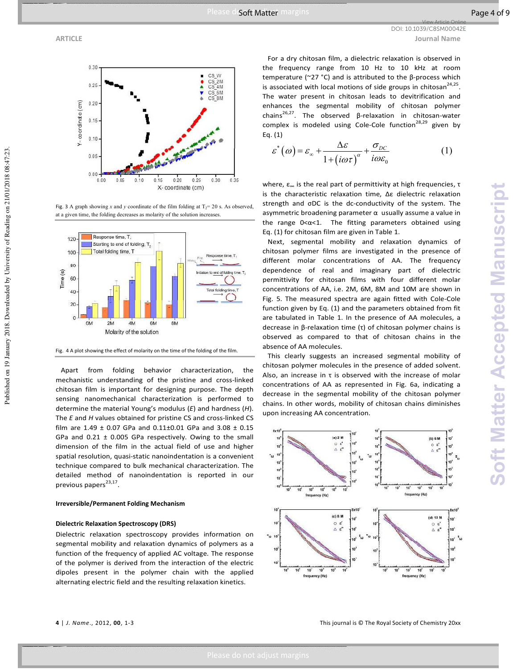Published on 19 January 2018. Downloaded by University of Reading on 21/01/2018 08:47:23



Fig. 3 A graph showing x and y coordinate of the film folding at  $T_2 = 20$  s. As observed, at a given time, the folding decreases as molarity of the solution increases.



Fig. 4 A plot showing the effect of molarity on the time of the folding of the film.

 Apart from folding behavior characterization, the mechanistic understanding of the pristine and cross-linked chitosan film is important for designing purpose. The depth sensing nanomechanical characterization is performed to determine the material Young's modulus (*E*) and hardness (*H*). The *E* and *H* values obtained for pristine CS and cross-linked CS film are 1.49 ± 0.07 GPa and 0.11±0.01 GPa and 3.08 ± 0.15 GPa and  $0.21 \pm 0.005$  GPa respectively. Owing to the small dimension of the film in the actual field of use and higher spatial resolution, quasi-static nanoindentation is a convenient technique compared to bulk mechanical characterization. The detailed method of nanoindentation is reported in our previous papers<sup>23,17</sup>.

#### **Irreversible/Permanent Folding Mechanism**

#### **Dielectric Relaxation Spectroscopy (DRS)**

Dielectric relaxation spectroscopy provides information on segmental mobility and relaxation dynamics of polymers as a function of the frequency of applied AC voltage. The response of the polymer is derived from the interaction of the electric dipoles present in the polymer chain with the applied alternating electric field and the resulting relaxation kinetics.

 For a dry chitosan film, a dielectric relaxation is observed in the frequency range from 10 Hz to 10 kHz at room temperature (~27 °C) and is attributed to the β-process which is associated with local motions of side groups in chitosan $^{24,25}$ . The water present in chitosan leads to devitrification and enhances the segmental mobility of chitosan polymer chains<sup>26,27</sup>. The observed β-relaxation in chitosan-water complex is modeled using Cole-Cole function<sup>28,29</sup> given by Eq. (1)

$$
\varepsilon^*(\omega) = \varepsilon_{\infty} + \frac{\Delta \varepsilon}{1 + \left(i\omega\tau\right)^{\alpha}} + \frac{\sigma_{DC}}{i\omega\varepsilon_0} \tag{1}
$$

where,  $ε_{\infty}$  is the real part of permittivity at high frequencies, τ is the characteristic relaxation time, ∆ε dielectric relaxation strength and σDC is the dc-conductivity of the system. The asymmetric broadening parameter  $\alpha$  usually assume a value in the range 0<α<1. The fitting parameters obtained using Eq. (1) for chitosan film are given in Table 1.

 Next, segmental mobility and relaxation dynamics of chitosan polymer films are investigated in the presence of different molar concentrations of AA. The frequency dependence of real and imaginary part of dielectric permittivity for chitosan films with four different molar concentrations of AA, i.e. 2M, 6M, 8M and 10M are shown in Fig. 5. The measured spectra are again fitted with Cole-Cole function given by Eq. (1) and the parameters obtained from fit are tabulated in Table 1. In the presence of AA molecules, a decrease in β-relaxation time (τ) of chitosan polymer chains is observed as compared to that of chitosan chains in the absence of AA molecules.

 This clearly suggests an increased segmental mobility of chitosan polymer molecules in the presence of added solvent. Also, an increase in τ is observed with the increase of molar concentrations of AA as represented in Fig. 6a, indicating a decrease in the segmental mobility of the chitosan polymer chains. In other words, mobility of chitosan chains diminishes upon increasing AA concentration.



**4** | *J. Name*., 2012, **00**, 1-3 This journal is © The Royal Society of Chemistry 20xx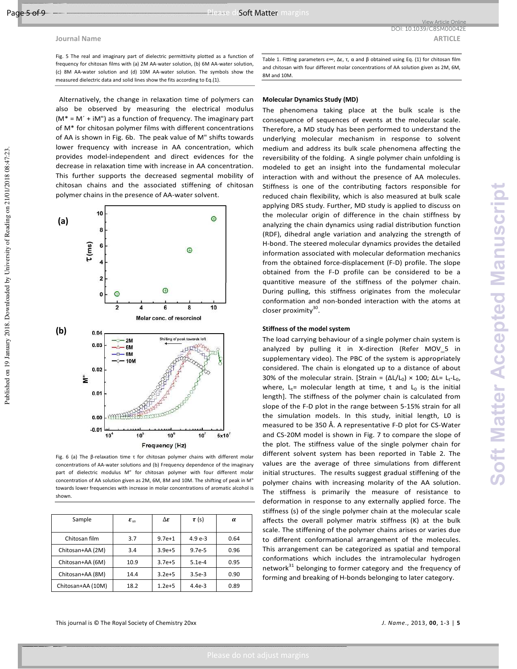Published on 19 January 2018. Downloaded by University of Reading on 21/01/2018 08:47:23

Fig. 5 The real and imaginary part of dielectric permittivity plotted as a function of frequency for chitosan films with (a) 2M AA-water solution, (b) 6M AA-water solution, (c) 8M AA-water solution and (d) 10M AA-water solution. The symbols show the measured dielectric data and solid lines show the fits according to Eq.(1).

 Alternatively, the change in relaxation time of polymers can also be observed by measuring the electrical modulus  $(M^* = M' + iM'')$  as a function of frequency. The imaginary part of M\* for chitosan polymer films with different concentrations of AA is shown in Fig. 6b. The peak value of M" shifts towards lower frequency with increase in AA concentration, which provides model-independent and direct evidences for the decrease in relaxation time with increase in AA concentration. This further supports the decreased segmental mobility of chitosan chains and the associated stiffening of chitosan polymer chains in the presence of AA-water solvent.



Fig. 6 (a) The β-relaxation time τ for chitosan polymer chains with different molar concentrations of AA-water solutions and (b) Frequency dependence of the imaginary part of dielectric modulus M" for chitosan polymer with four different molar concentration of AA solution given as 2M, 6M, 8M and 10M. The shifting of peak in M" towards lower frequencies with increase in molar concentrations of aromatic alcohol is shown.

| Sample            | $\varepsilon_{\infty}$ | Δε         | $\tau$ (s) | α    |
|-------------------|------------------------|------------|------------|------|
| Chitosan film     | 3.7                    | $9.7e + 1$ | $4.9e - 3$ | 0.64 |
| Chitosan+AA (2M)  | 3.4                    | $3.9e + 5$ | $9.7e-5$   | 0.96 |
| Chitosan+AA (6M)  | 10.9                   | $3.7e + 5$ | $5.1e-4$   | 0.95 |
| Chitosan+AA (8M)  | 14.4                   | $3.2e + 5$ | $3.5e-3$   | 0.90 |
| Chitosan+AA (10M) | 18.2                   | $1.2e + 5$ | $4.4e-3$   | 0.89 |

Table 1. Fitting parameters ε∞, Δε, τ, α and β obtained using Eq. (1) for chitosan film and chitosan with four different molar concentrations of AA solution given as 2M, 6M, 8M and 10M.

View Article Online DOI: 10.1039/C8SM00042E

#### **Molecular Dynamics Study (MD)**

The phenomena taking place at the bulk scale is the consequence of sequences of events at the molecular scale. Therefore, a MD study has been performed to understand the underlying molecular mechanism in response to solvent medium and address its bulk scale phenomena affecting the reversibility of the folding. A single polymer chain unfolding is modeled to get an insight into the fundamental molecular interaction with and without the presence of AA molecules. Stiffness is one of the contributing factors responsible for reduced chain flexibility, which is also measured at bulk scale applying DRS study. Further, MD study is applied to discuss on the molecular origin of difference in the chain stiffness by analyzing the chain dynamics using radial distribution function (RDF), dihedral angle variation and analyzing the strength of H-bond. The steered molecular dynamics provides the detailed information associated with molecular deformation mechanics from the obtained force-displacement (F-D) profile. The slope obtained from the F-D profile can be considered to be a quantitive measure of the stiffness of the polymer chain. During pulling, this stiffness originates from the molecular conformation and non-bonded interaction with the atoms at closer proximity<sup>30</sup>.

#### **Stiffness of the model system**

The load carrying behaviour of a single polymer chain system is analyzed by pulling it in X-direction (Refer MOV\_5 in supplementary video). The PBC of the system is appropriately considered. The chain is elongated up to a distance of about 30% of the molecular strain. [Strain =  $(ΔL/L<sub>0</sub>) × 100; ΔL=L<sub>t</sub>-L<sub>0</sub>$ , where,  $L_t$ = molecular length at time, t and  $L_0$  is the initial length]. The stiffness of the polymer chain is calculated from slope of the F-D plot in the range between 5-15% strain for all the simulation models. In this study, initial length, L0 is measured to be 350 Å. A representative F-D plot for CS-Water and CS-20M model is shown in Fig. 7 to compare the slope of the plot. The stiffness value of the single polymer chain for different solvent system has been reported in Table 2. The values are the average of three simulations from different initial structures. The results suggest gradual stiffening of the polymer chains with increasing molarity of the AA solution. The stiffness is primarily the measure of resistance to deformation in response to any externally applied force. The stiffness (s) of the single polymer chain at the molecular scale affects the overall polymer matrix stiffness (K) at the bulk scale. The stiffening of the polymer chains arises or varies due to different conformational arrangement of the molecules. This arrangement can be categorized as spatial and temporal conformations which includes the intramolecular hydrogen network<sup>31</sup> belonging to former category and the frequency of forming and breaking of H-bonds belonging to later category.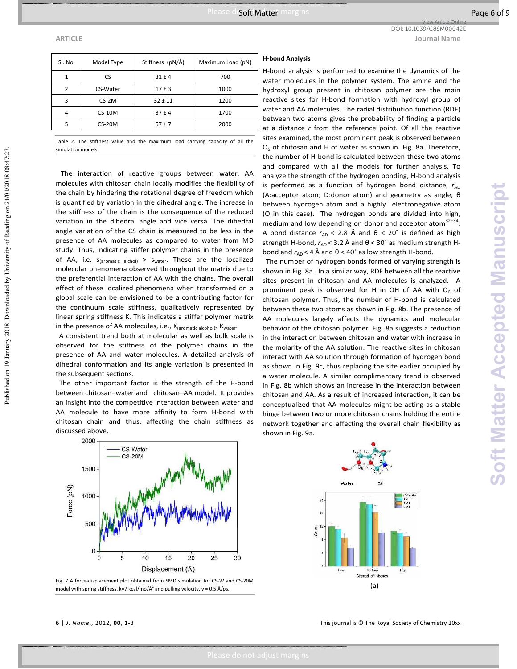View Article Online

Published on 19 January 2018. Downloaded by University of Reading on 21/01/2018 08:47:23.

Published on 19 January 2018. Downloaded by University of Reading on 21/01/2018 08:47:23

| SI. No.  | Model Type | Stiffness (pN/Å) | Maximum Load (pN) |
|----------|------------|------------------|-------------------|
|          | CS         | $31 \pm 4$       | 700               |
| <u>ີ</u> | CS-Water   | $17 \pm 3$       | 1000              |
| 3        | $CS-2M$    | $32 \pm 11$      | 1200              |
|          | $CS-10M$   | $37 + 4$         | 1700              |
|          | $CS-20M$   | $57 + 7$         | 2000              |

Table 2. The stiffness value and the maximum load carrying capacity of all the simulation models

 The interaction of reactive groups between water, AA molecules with chitosan chain locally modifies the flexibility of the chain by hindering the rotational degree of freedom which is quantified by variation in the dihedral angle. The increase in the stiffness of the chain is the consequence of the reduced variation in the dihedral angle and vice versa. The dihedral angle variation of the CS chain is measured to be less in the presence of AA molecules as compared to water from MD study. Thus, indicating stiffer polymer chains in the presence of AA, i.e.  $s_{(aromatic alcohol)} > s_{water}$ . These are the localized molecular phenomena observed throughout the matrix due to the preferential interaction of AA with the chains. The overall effect of these localized phenomena when transformed on a global scale can be envisioned to be a contributing factor for the continuum scale stiffness, qualitatively represented by linear spring stiffness K. This indicates a stiffer polymer matrix in the presence of AA molecules, i.e.,  $K_{(aromatic alcohol)>} K_{water}$ .

 A consistent trend both at molecular as well as bulk scale is observed for the stiffness of the polymer chains in the presence of AA and water molecules. A detailed analysis of dihedral conformation and its angle variation is presented in the subsequent sections.

 The other important factor is the strength of the H-bond between chitosan–water and chitosan–AA model. It provides an insight into the competitive interaction between water and AA molecule to have more affinity to form H-bond with chitosan chain and thus, affecting the chain stiffness as discussed above.

2000 C.S-Water **CS-20M** 1500 Force (pN) 1000 500  $\Omega$  $10$  $15$  $20$  $25$ 5 30 Displacement (Å)



|  | <b>H-bond Analysis</b> |
|--|------------------------|
|--|------------------------|

H-bond analysis is performed to examine the dynamics of the water molecules in the polymer system. The amine and the hydroxyl group present in chitosan polymer are the main reactive sites for H-bond formation with hydroxyl group of water and AA molecules. The radial distribution function (RDF) between two atoms gives the probability of finding a particle at a distance *r* from the reference point. Of all the reactive sites examined, the most prominent peak is observed between  $O_6$  of chitosan and H of water as shown in Fig. 8a. Therefore, the number of H-bond is calculated between these two atoms and compared with all the models for further analysis. To analyze the strength of the hydrogen bonding, H-bond analysis is performed as a function of hydrogen bond distance,  $r_{AD}$ (A:acceptor atom; D:donor atom) and geometry as angle, θ between hydrogen atom and a highly electronegative atom (O in this case). The hydrogen bonds are divided into high, medium and low depending on donor and acceptor atom $^{32-34}$ . A bond distance  $r_{AD}$  < 2.8 Å and  $\theta$  < 20° is defined as high strength H-bond,  $r_{AD}$  < 3.2 Å and  $\theta$  < 30° as medium strength Hbond and  $r_{AD}$  < 4 Å and  $θ$  < 40° as low strength H-bond.

 The number of hydrogen bonds formed of varying strength is shown in Fig. 8a. In a similar way, RDF between all the reactive sites present in chitosan and AA molecules is analyzed. A prominent peak is observed for H in OH of AA with  $O_6$  of chitosan polymer. Thus, the number of H-bond is calculated between these two atoms as shown in Fig. 8b. The presence of AA molecules largely affects the dynamics and molecular behavior of the chitosan polymer. Fig. 8a suggests a reduction in the interaction between chitosan and water with increase in the molarity of the AA solution. The reactive sites in chitosan interact with AA solution through formation of hydrogen bond as shown in Fig. 9c, thus replacing the site earlier occupied by a water molecule. A similar complimentary trend is observed in Fig. 8b which shows an increase in the interaction between chitosan and AA. As a result of increased interaction, it can be conceptualized that AA molecules might be acting as a stable hinge between two or more chitosan chains holding the entire network together and affecting the overall chain flexibility as shown in Fig. 9a.



**6** | *J. Name*., 2012, **00**, 1-3 This journal is © The Royal Society of Chemistry 20xx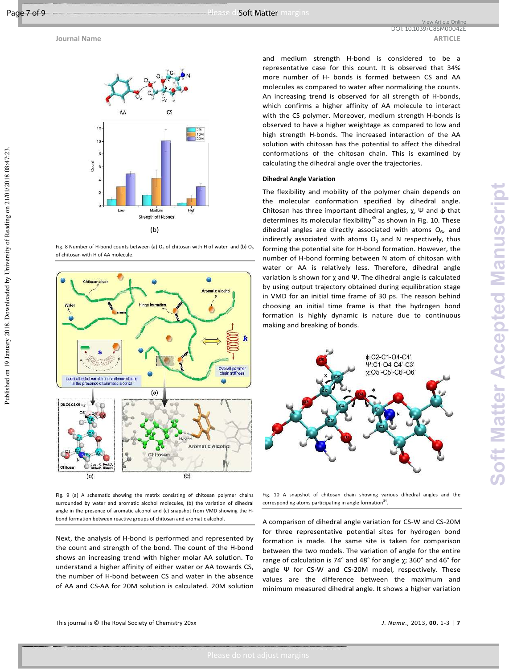Published on 19 January 2018. Downloaded by University of Reading on 21/01/2018 08:47:23



Fig. 8 Number of H-bond counts between (a)  $O_6$  of chitosan with H of water and (b)  $O_6$ of chitosan with H of AA molecule.



Fig. 9 (a) A schematic showing the matrix consisting of chitosan polymer chains surrounded by water and aromatic alcohol molecules, (b) the variation of dihedral angle in the presence of aromatic alcohol and (c) snapshot from VMD showing the Hbond formation between reactive groups of chitosan and aromatic alcohol.

Next, the analysis of H-bond is performed and represented by the count and strength of the bond. The count of the H-bond shows an increasing trend with higher molar AA solution. To understand a higher affinity of either water or AA towards CS, the number of H-bond between CS and water in the absence of AA and CS-AA for 20M solution is calculated. 20M solution and medium strength H-bond is considered to be a representative case for this count. It is observed that 34% more number of H- bonds is formed between CS and AA molecules as compared to water after normalizing the counts. An increasing trend is observed for all strength of H-bonds, which confirms a higher affinity of AA molecule to interact with the CS polymer. Moreover, medium strength H-bonds is observed to have a higher weightage as compared to low and high strength H-bonds. The increased interaction of the AA solution with chitosan has the potential to affect the dihedral conformations of the chitosan chain. This is examined by calculating the dihedral angle over the trajectories.

#### **Dihedral Angle Variation**

The flexibility and mobility of the polymer chain depends on the molecular conformation specified by dihedral angle. Chitosan has three important dihedral angles,  $\chi$ ,  $\Psi$  and  $\varphi$  that determines its molecular flexibility<sup>35</sup> as shown in Fig. 10. These dihedral angles are directly associated with atoms  $O_6$ , and indirectly associated with atoms  $O_3$  and N respectively, thus forming the potential site for H-bond formation. However, the number of H-bond forming between N atom of chitosan with water or AA is relatively less. Therefore, dihedral angle variation is shown for χ and Ψ. The dihedral angle is calculated by using output trajectory obtained during equilibration stage in VMD for an initial time frame of 30 ps. The reason behind choosing an initial time frame is that the hydrogen bond formation is highly dynamic is nature due to continuous making and breaking of bonds.



Fig. 10 A snapshot of chitosan chain showing various dihedral angles and the corresponding atoms participating in angle formation $^{34}$ .

A comparison of dihedral angle variation for CS-W and CS-20M for three representative potential sites for hydrogen bond formation is made. The same site is taken for comparison between the two models. The variation of angle for the entire range of calculation is 74° and 48° for angle χ; 360° and 46° for angle Ψ for CS-W and CS-20M model, respectively. These values are the difference between the maximum and minimum measured dihedral angle. It shows a higher variation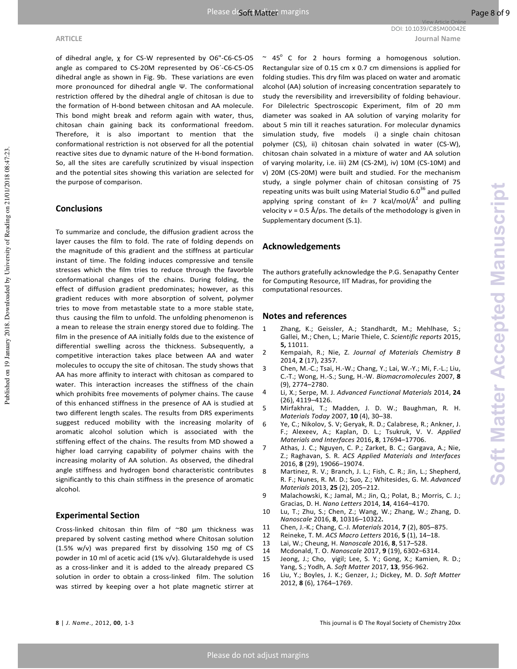**Soft Matter Accepted Manuscript**

**Soft Matter Accepted Manuscript** 

**ARTICLE Journal Name** View Article Online DOI: 10.1039/C8SM00042E

of dihedral angle, χ for CS-W represented by O6"-C6-C5-O5 angle as compared to CS-20M represented by O6´-C6-C5-O5 dihedral angle as shown in Fig. 9b. These variations are even more pronounced for dihedral angle Ψ. The conformational restriction offered by the dihedral angle of chitosan is due to the formation of H-bond between chitosan and AA molecule. This bond might break and reform again with water, thus, chitosan chain gaining back its conformational freedom. Therefore, it is also important to mention that the conformational restriction is not observed for all the potential reactive sites due to dynamic nature of the H-bond formation. So, all the sites are carefully scrutinized by visual inspection and the potential sites showing this variation are selected for the purpose of comparison.

#### **Conclusions**

To summarize and conclude, the diffusion gradient across the layer causes the film to fold. The rate of folding depends on the magnitude of this gradient and the stiffness at particular instant of time. The folding induces compressive and tensile stresses which the film tries to reduce through the favorble conformational changes of the chains. During folding, the effect of diffusion gradient predominates; however, as this gradient reduces with more absorption of solvent, polymer tries to move from metastable state to a more stable state, thus causing the film to unfold. The unfolding phenomenon is a mean to release the strain energy stored due to folding. The film in the presence of AA initially folds due to the existence of differential swelling across the thickness. Subsequently, a competitive interaction takes place between AA and water molecules to occupy the site of chitosan. The study shows that AA has more affinity to interact with chitosan as compared to water. This interaction increases the stiffness of the chain which prohibits free movements of polymer chains. The cause of this enhanced stiffness in the presence of AA is studied at two different length scales. The results from DRS experiments suggest reduced mobility with the increasing molarity of aromatic alcohol solution which is associated with the stiffening effect of the chains. The results from MD showed a higher load carrying capability of polymer chains with the increasing molarity of AA solution. As observed, the dihedral angle stiffness and hydrogen bond characteristic contributes significantly to this chain stiffness in the presence of aromatic alcohol.

#### **Experimental Section**

Cross-linked chitosan thin film of ~80 μm thickness was prepared by solvent casting method where Chitosan solution (1.5% w/v) was prepared first by dissolving 150 mg of CS powder in 10 ml of acetic acid (1% v/v). Glutaraldehyde is used as a cross-linker and it is added to the already prepared CS solution in order to obtain a cross-linked film. The solution was stirred by keeping over a hot plate magnetic stirrer at

 $\sim$  45 $\degree$  C for 2 hours forming a homogenous solution. Rectangular size of 0.15 cm x 0.7 cm dimensions is applied for folding studies. This dry film was placed on water and aromatic alcohol (AA) solution of increasing concentration separately to study the reversibility and irreversibility of folding behaviour. For Dilelectric Spectroscopic Experiment, film of 20 mm diameter was soaked in AA solution of varying molarity for about 5 min till it reaches saturation. For molecular dynamics simulation study, five models i) a single chain chitosan polymer (CS), ii) chitosan chain solvated in water (CS-W), chitosan chain solvated in a mixture of water and AA solution of varying molarity, i.e. iii) 2M (CS-2M), iv) 10M (CS-10M) and v) 20M (CS-20M) were built and studied. For the mechanism study, a single polymer chain of chitosan consisting of 75 repeating units was built using Material Studio  $6.0^{36}$  and pulled applying spring constant of  $k=$  7 kcal/mol/ $A^2$  and pulling velocity  $v = 0.5 \text{ Å} / \text{ps}$ . The details of the methodology is given in Supplementary document (S.1).

#### **Acknowledgements**

The authors gratefully acknowledge the P.G. Senapathy Center for Computing Resource, IIT Madras, for providing the computational resources.

#### **Notes and references**

- 1 Zhang, K.; Geissler, A.; Standhardt, M.; Mehlhase, S.; Gallei, M.; Chen, L.; Marie Thiele, C. *Scientific reports* 2015, **5,** 11011.
- 2 Kempaiah, R.; Nie, Z. *Journal of Materials Chemistry B* 2014, **2** (17), 2357.
- 3 Chen, M.-C.; Tsai, H.-W.; Chang, Y.; Lai, W.-Y.; Mi, F.-L.; Liu, C.-T.; Wong, H.-S.; Sung, H.-W. *Biomacromolecules* 2007, **8** (9), 2774–2780.
- 4 Li, X.; Serpe, M. J. *Advanced Functional Materials* 2014, **24** (26), 4119–4126.
- 5 Mirfakhrai, T.; Madden, J. D. W.; Baughman, R. H. *Materials Today* 2007, **10** (4), 30–38.
- 6 Ye, C.; Nikolov, S. V; Geryak, R. D.; Calabrese, R.; Ankner, J. F.; Alexeev, A.; Kaplan, D. L.; Tsukruk, V. V. *Applied Materials and Interfaces* 2016**, 8**, 17694–17706.
- 7 Athas, J. C.; Nguyen, C. P.; Zarket, B. C.; Gargava, A.; Nie, Z.; Raghavan, S. R. *ACS Applied Materials and Interfaces* 2016, **8** (29), 19066–19074.
- 8 Martinez, R. V.; Branch, J. L.; Fish, C. R.; Jin, L.; Shepherd, R. F.; Nunes, R. M. D.; Suo, Z.; Whitesides, G. M. *Advanced Materials* 2013, **25** (2), 205–212.
- 9 Malachowski, K.; Jamal, M.; Jin, Q.; Polat, B.; Morris, C. J.; Gracias, D. H. *Nano Letters* 2014, **14**, 4164–4170.
- 10 Lu, T.; Zhu, S.; Chen, Z.; Wang, W.; Zhang, W.; Zhang, D. *Nanoscale* 2016, **8**, 10316–10322**.**
- 11 Chen, J.-K.; Chang, C.-J. *Materials* 2014, **7** (2), 805–875.
- 12 Reineke, T. M. *ACS Macro Letters* 2016, **5** (1), 14–18.
- 13 Lai, W.; Cheung, H. *Nanoscale* 2016, **8**, 517–528.
- 14 Mcdonald, T. O. *Nanoscale* 2017, **9** (19), 6302–6314.
- 15 Jeong, J.; Cho, yigil; Lee, S. Y.; Gong, X.; Kamien, R. D.; Yang, S.; Yodh, A. *Soft Matter* 2017, **13**, 956-962.
- 16 Liu, Y.; Boyles, J. K.; Genzer, J.; Dickey, M. D. *Soft Matter* 2012, **8** (6), 1764–1769.

**8** | *J. Name*., 2012, **00**, 1-3 This journal is © The Royal Society of Chemistry 20xx